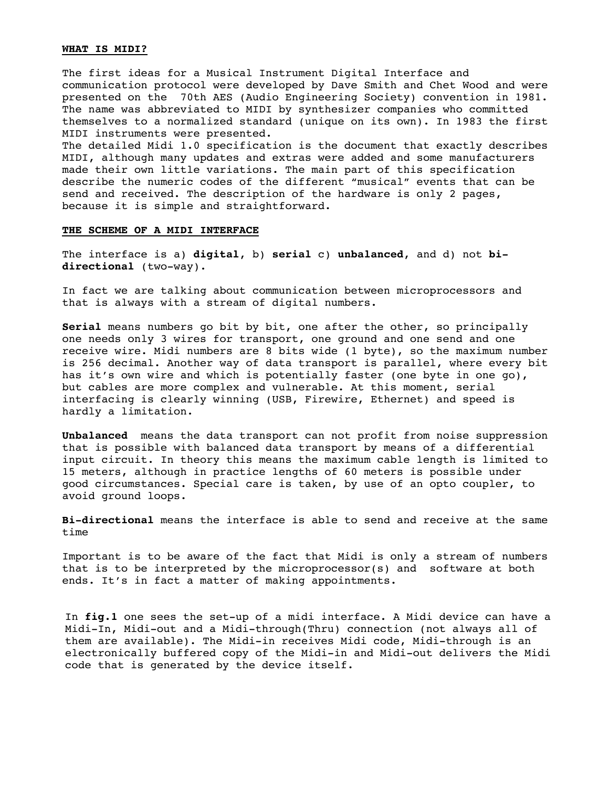# **WHAT IS MIDI?**

The first ideas for a Musical Instrument Digital Interface and communication protocol were developed by Dave Smith and Chet Wood and were presented on the 70th AES (Audio Engineering Society) convention in 1981. The name was abbreviated to MIDI by synthesizer companies who committed themselves to a normalized standard (unique on its own). In 1983 the first MIDI instruments were presented.

The detailed Midi 1.0 specification is the document that exactly describes MIDI, although many updates and extras were added and some manufacturers made their own little variations. The main part of this specification describe the numeric codes of the different "musical" events that can be send and received. The description of the hardware is only 2 pages, because it is simple and straightforward.

## **THE SCHEME OF A MIDI INTERFACE**

The interface is a) **digital**, b) **serial** c) **unbalanced**, and d) not **bidirectional** (two-way).

In fact we are talking about communication between microprocessors and that is always with a stream of digital numbers.

**Serial** means numbers go bit by bit, one after the other, so principally one needs only 3 wires for transport, one ground and one send and one receive wire. Midi numbers are 8 bits wide (1 byte), so the maximum number is 256 decimal. Another way of data transport is parallel, where every bit has it's own wire and which is potentially faster (one byte in one go), but cables are more complex and vulnerable. At this moment, serial interfacing is clearly winning (USB, Firewire, Ethernet) and speed is hardly a limitation.

**Unbalanced** means the data transport can not profit from noise suppression that is possible with balanced data transport by means of a differential input circuit. In theory this means the maximum cable length is limited to 15 meters, although in practice lengths of 60 meters is possible under good circumstances. Special care is taken, by use of an opto coupler, to avoid ground loops.

**Bi-directional** means the interface is able to send and receive at the same time

Important is to be aware of the fact that Midi is only a stream of numbers that is to be interpreted by the microprocessor(s) and software at both ends. It's in fact a matter of making appointments.

In **fig.1** one sees the set-up of a midi interface. A Midi device can have a Midi-In, Midi-out and a Midi-through(Thru) connection (not always all of them are available). The Midi-in receives Midi code, Midi-through is an electronically buffered copy of the Midi-in and Midi-out delivers the Midi code that is generated by the device itself.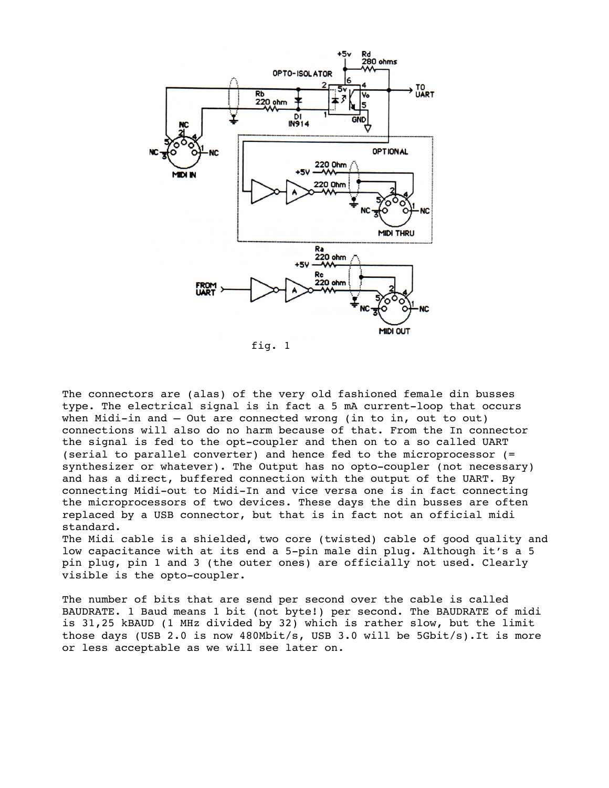

fig. 1

The connectors are (alas) of the very old fashioned female din busses type. The electrical signal is in fact a 5 mA current-loop that occurs when Midi-in and – Out are connected wrong (in to in, out to out) connections will also do no harm because of that. From the In connector the signal is fed to the opt-coupler and then on to a so called UART (serial to parallel converter) and hence fed to the microprocessor (= synthesizer or whatever). The Output has no opto-coupler (not necessary) and has a direct, buffered connection with the output of the UART. By connecting Midi-out to Midi-In and vice versa one is in fact connecting the microprocessors of two devices. These days the din busses are often replaced by a USB connector, but that is in fact not an official midi standard.

The Midi cable is a shielded, two core (twisted) cable of good quality and low capacitance with at its end a 5-pin male din plug. Although it's a 5 pin plug, pin 1 and 3 (the outer ones) are officially not used. Clearly visible is the opto-coupler.

The number of bits that are send per second over the cable is called BAUDRATE. 1 Baud means 1 bit (not byte!) per second. The BAUDRATE of midi is 31,25 kBAUD (1 MHz divided by 32) which is rather slow, but the limit those days (USB 2.0 is now 480Mbit/s, USB 3.0 will be 5Gbit/s).It is more or less acceptable as we will see later on.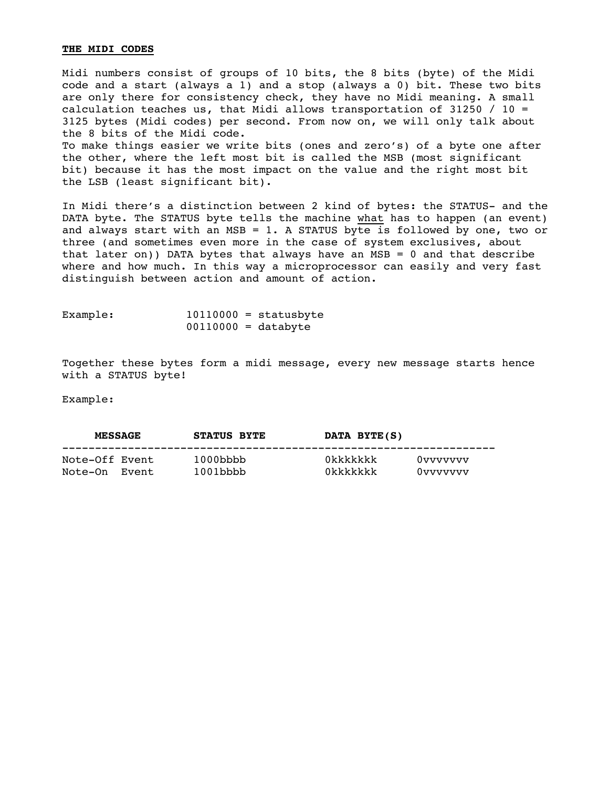# **THE MIDI CODES**

Midi numbers consist of groups of 10 bits, the 8 bits (byte) of the Midi code and a start (always a 1) and a stop (always a 0) bit. These two bits are only there for consistency check, they have no Midi meaning. A small calculation teaches us, that Midi allows transportation of 31250 / 10 = 3125 bytes (Midi codes) per second. From now on, we will only talk about the 8 bits of the Midi code. To make things easier we write bits (ones and zero's) of a byte one after the other, where the left most bit is called the MSB (most significant bit) because it has the most impact on the value and the right most bit the LSB (least significant bit).

In Midi there's a distinction between 2 kind of bytes: the STATUS- and the DATA byte. The STATUS byte tells the machine what has to happen (an event) and always start with an MSB = 1. A STATUS byte is followed by one, two or three (and sometimes even more in the case of system exclusives, about that later on)) DATA bytes that always have an  $MSB = 0$  and that describe where and how much. In this way a microprocessor can easily and very fast distinguish between action and amount of action.

| Example: |                       | $10110000 =$ statusbyte |
|----------|-----------------------|-------------------------|
|          | $00110000 = databyte$ |                         |

Together these bytes form a midi message, every new message starts hence with a STATUS byte!

Example:

| <b>MESSAGE</b> | <b>STATUS BYTE</b> | DATA BYTE(S) |          |
|----------------|--------------------|--------------|----------|
| Note-Off Event | $1000$ bbbb        | Okkkkkkk     | 0vvvvvvv |
| Note-On Event  | $1001$ bbbb        | 0kkkkkkk     | 0vvvvvvv |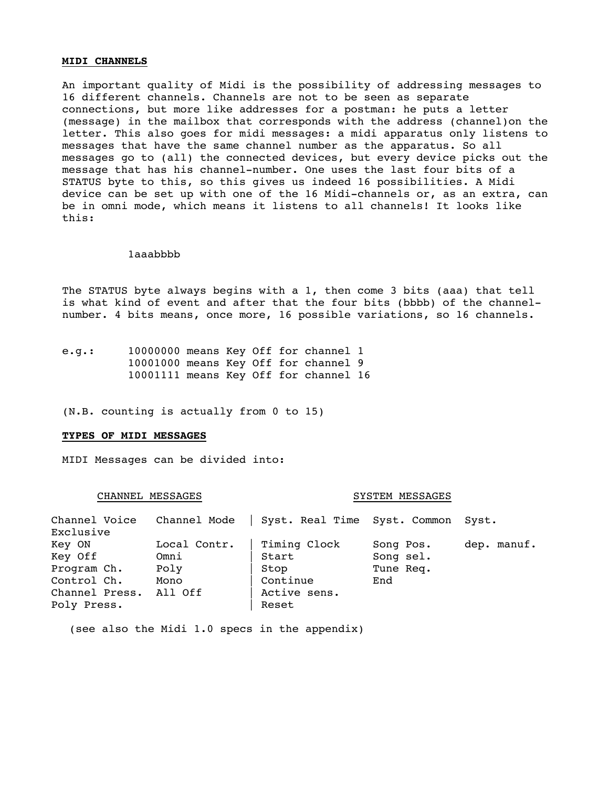## **MIDI CHANNELS**

An important quality of Midi is the possibility of addressing messages to 16 different channels. Channels are not to be seen as separate connections, but more like addresses for a postman: he puts a letter (message) in the mailbox that corresponds with the address (channel)on the letter. This also goes for midi messages: a midi apparatus only listens to messages that have the same channel number as the apparatus. So all messages go to (all) the connected devices, but every device picks out the message that has his channel-number. One uses the last four bits of a STATUS byte to this, so this gives us indeed 16 possibilities. A Midi device can be set up with one of the 16 Midi-channels or, as an extra, can be in omni mode, which means it listens to all channels! It looks like this:

#### 1aaabbbb

The STATUS byte always begins with a 1, then come 3 bits (aaa) that tell is what kind of event and after that the four bits (bbbb) of the channelnumber. 4 bits means, once more, 16 possible variations, so 16 channels.

e.g.: 10000000 means Key Off for channel 1 10001000 means Key Off for channel 9 10001111 means Key Off for channel 16

(N.B. counting is actually from 0 to 15)

#### **TYPES OF MIDI MESSAGES**

MIDI Messages can be divided into:

#### CHANNEL MESSAGES SYSTEM MESSAGES

| Channel Voice  | Channel Mode | Syst. Real Time Syst. Common Syst. |           |             |
|----------------|--------------|------------------------------------|-----------|-------------|
| Exclusive      |              |                                    |           |             |
| Key ON         | Local Contr. | Timing Clock                       | Song Pos. | dep. manuf. |
| Key Off        | Omni         | Start                              | Song sel. |             |
| Program Ch.    | Poly         | Stop                               | Tune Req. |             |
| Control Ch.    | Mono         | Continue                           | End       |             |
| Channel Press. | All Off      | Active sens.                       |           |             |
| Poly Press.    |              | Reset                              |           |             |

(see also the Midi 1.0 specs in the appendix)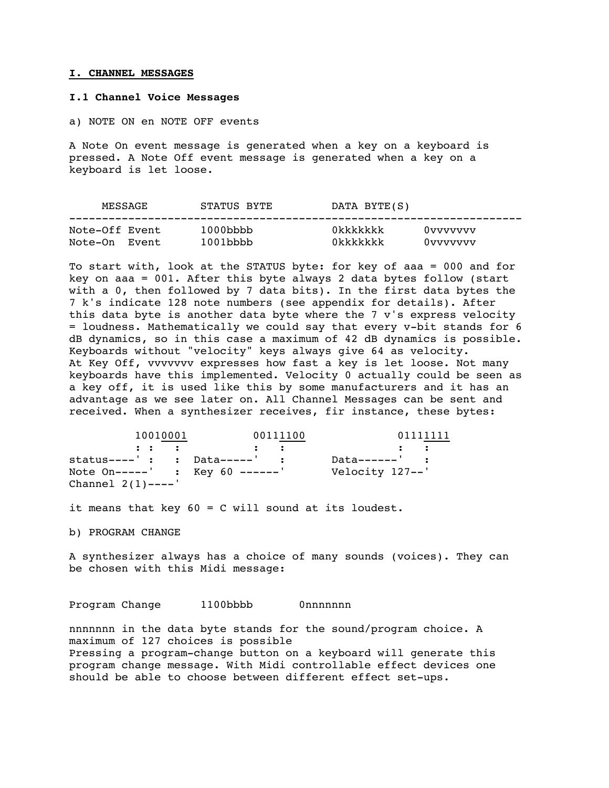#### **I. CHANNEL MESSAGES**

## **I.1 Channel Voice Messages**

a) NOTE ON en NOTE OFF events

A Note On event message is generated when a key on a keyboard is pressed. A Note Off event message is generated when a key on a keyboard is let loose.

|                | MESSAGE | STATUS BYTE | DATA BYTE(S) |          |
|----------------|---------|-------------|--------------|----------|
| Note-Off Event |         | $1000$ bbbb | Okkkkkkk     | 0vvvvvvv |
| Note-On Event  |         | $1001$ bbbb | 0kkkkkkk     | 0vvvvvvv |

To start with, look at the STATUS byte: for key of aaa = 000 and for key on aaa = 001. After this byte always 2 data bytes follow (start with a 0, then followed by 7 data bits). In the first data bytes the 7 k's indicate 128 note numbers (see appendix for details). After this data byte is another data byte where the 7 v's express velocity = loudness. Mathematically we could say that every v-bit stands for 6 dB dynamics, so in this case a maximum of 42 dB dynamics is possible. Keyboards without "velocity" keys always give 64 as velocity. At Key Off, vvvvvvv expresses how fast a key is let loose. Not many keyboards have this implemented. Velocity 0 actually could be seen as a key off, it is used like this by some manufacturers and it has an advantage as we see later on. All Channel Messages can be sent and received. When a synthesizer receives, fir instance, these bytes:

| 10010001                                                                 | 00111100                                  | 01111111        |  |
|--------------------------------------------------------------------------|-------------------------------------------|-----------------|--|
| $\mathbf{r}$ , $\mathbf{r}$ , $\mathbf{r}$ , $\mathbf{r}$ , $\mathbf{r}$ | $\sim$ $\sim$ $\sim$ $\sim$ $\sim$ $\sim$ |                 |  |
| $status---' :$ $Data---' :$                                              |                                           | $Data-----$ :   |  |
| Note $On---$ : Key 60 -----'                                             |                                           | Velocity 127--' |  |
| Channel $2(1)$ ----'                                                     |                                           |                 |  |

it means that key 60 = C will sound at its loudest.

b) PROGRAM CHANGE

A synthesizer always has a choice of many sounds (voices). They can be chosen with this Midi message:

Program Change 1100bbbb 0nnnnnnn

nnnnnnn in the data byte stands for the sound/program choice. A maximum of 127 choices is possible Pressing a program-change button on a keyboard will generate this program change message. With Midi controllable effect devices one should be able to choose between different effect set-ups.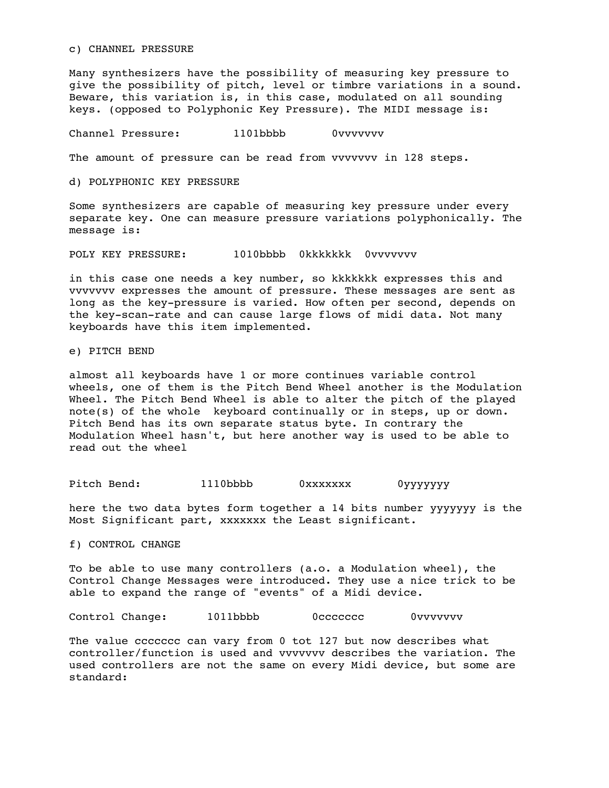c) CHANNEL PRESSURE

Many synthesizers have the possibility of measuring key pressure to give the possibility of pitch, level or timbre variations in a sound. Beware, this variation is, in this case, modulated on all sounding keys. (opposed to Polyphonic Key Pressure). The MIDI message is:

Channel Pressure: 1101bbbb 0vvvvvvv

The amount of pressure can be read from vvvvvvv in 128 steps.

d) POLYPHONIC KEY PRESSURE

Some synthesizers are capable of measuring key pressure under every separate key. One can measure pressure variations polyphonically. The message is:

POLY KEY PRESSURE: 1010bbbb 0kkkkkkk 0vvvvvvv

in this case one needs a key number, so kkkkkkk expresses this and vvvvvvv expresses the amount of pressure. These messages are sent as long as the key-pressure is varied. How often per second, depends on the key-scan-rate and can cause large flows of midi data. Not many keyboards have this item implemented.

e) PITCH BEND

almost all keyboards have 1 or more continues variable control wheels, one of them is the Pitch Bend Wheel another is the Modulation Wheel. The Pitch Bend Wheel is able to alter the pitch of the played note(s) of the whole keyboard continually or in steps, up or down. Pitch Bend has its own separate status byte. In contrary the Modulation Wheel hasn't, but here another way is used to be able to read out the wheel

Pitch Bend: 1110bbbb 0xxxxxxx 0yyyyyyy

here the two data bytes form together a 14 bits number yyyyyyy is the Most Significant part, xxxxxxx the Least significant.

f) CONTROL CHANGE

To be able to use many controllers (a.o. a Modulation wheel), the Control Change Messages were introduced. They use a nice trick to be able to expand the range of "events" of a Midi device.

Control Change: 1011bbbb 0ccccccc 0vvvvvvv

The value ccccccc can vary from 0 tot 127 but now describes what controller/function is used and vvvvvvv describes the variation. The used controllers are not the same on every Midi device, but some are standard: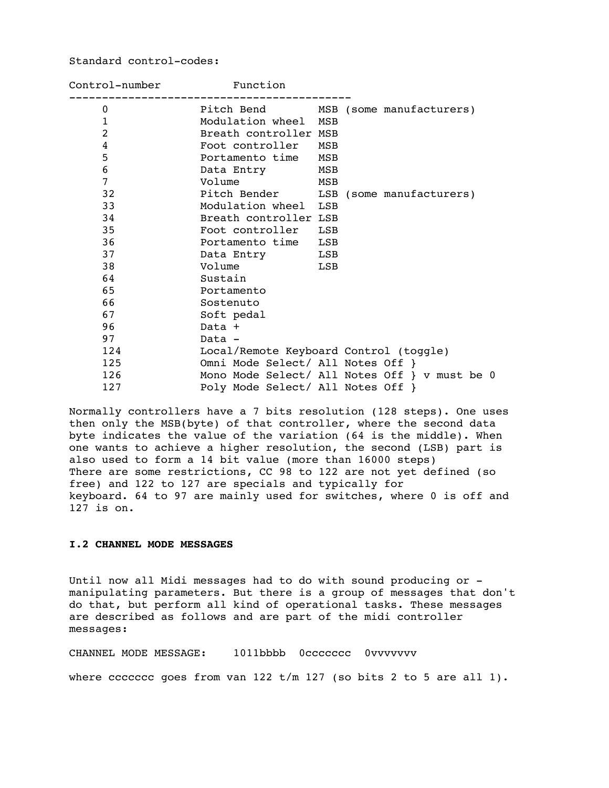# Standard control-codes:

| Control-number | Function                                      |  |
|----------------|-----------------------------------------------|--|
| $\mathbf{0}$   | Pitch Bend MSB (some manufacturers)           |  |
| $\mathbf{1}$   | Modulation wheel MSB                          |  |
| $\overline{2}$ | Breath controller MSB                         |  |
| $\overline{4}$ | Foot controller MSB                           |  |
| 5              | Portamento time<br>MSB                        |  |
| 6              | Data Entry MSB                                |  |
| 7              | Volume<br>MSB                                 |  |
| 32             | Pitch Bender LSB (some manufacturers)         |  |
| 33             | Modulation wheel LSB                          |  |
| 34             | Breath controller LSB                         |  |
| 35             | Foot controller LSB                           |  |
| 36             | Portamento time LSB                           |  |
| 37             | Data Entry LSB                                |  |
| 38             | Volume<br>LSB                                 |  |
| 64             | Sustain                                       |  |
| 65             | Portamento                                    |  |
| 66             | Sostenuto                                     |  |
| 67             | Soft pedal                                    |  |
| 96             | Data +                                        |  |
| 97             | Data -                                        |  |
| 124            | Local/Remote Keyboard Control (toggle)        |  |
| 125            | Omni Mode Select/ All Notes Off }             |  |
| 126            | Mono Mode Select/ All Notes Off } v must be 0 |  |
| 127            | Poly Mode Select/ All Notes Off }             |  |

Normally controllers have a 7 bits resolution (128 steps). One uses then only the MSB(byte) of that controller, where the second data byte indicates the value of the variation (64 is the middle). When one wants to achieve a higher resolution, the second (LSB) part is also used to form a 14 bit value (more than 16000 steps) There are some restrictions, CC 98 to 122 are not yet defined (so free) and 122 to 127 are specials and typically for keyboard. 64 to 97 are mainly used for switches, where 0 is off and 127 is on.

# **I.2 CHANNEL MODE MESSAGES**

Until now all Midi messages had to do with sound producing or manipulating parameters. But there is a group of messages that don't do that, but perform all kind of operational tasks. These messages are described as follows and are part of the midi controller messages:

CHANNEL MODE MESSAGE: 1011bbbb 0ccccccc 0vvvvvvv

where ccccccc goes from van 122  $t/m$  127 (so bits 2 to 5 are all 1).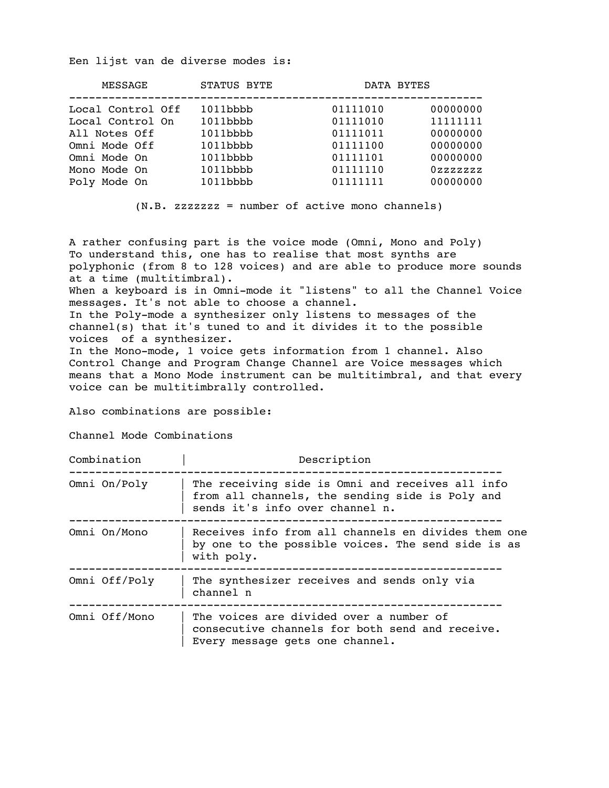Een lijst van de diverse modes is:

| MESSAGE                                                                                                                 | STATUS BYTE                                                                                     | DATA BYTES                                                                       |                                                                                 |
|-------------------------------------------------------------------------------------------------------------------------|-------------------------------------------------------------------------------------------------|----------------------------------------------------------------------------------|---------------------------------------------------------------------------------|
| Local Control Off<br>Local Control On<br>All Notes Off<br>Omni Mode Off<br>Omni Mode On<br>Mono Mode On<br>Poly Mode On | $1011$ bbbb<br>$1011$ bbbb<br>$1011$ bbbb<br>$1011$ bbbb<br>1011bbbb<br>1011bbbb<br>$1011$ bbbb | 01111010<br>01111010<br>01111011<br>01111100<br>01111101<br>01111110<br>01111111 | 00000000<br>11111111<br>00000000<br>00000000<br>00000000<br>0zzzzzz<br>00000000 |
|                                                                                                                         |                                                                                                 |                                                                                  |                                                                                 |

(N.B. zzzzzzz = number of active mono channels)

A rather confusing part is the voice mode (Omni, Mono and Poly) To understand this, one has to realise that most synths are polyphonic (from 8 to 128 voices) and are able to produce more sounds at a time (multitimbral). When a keyboard is in Omni-mode it "listens" to all the Channel Voice messages. It's not able to choose a channel. In the Poly-mode a synthesizer only listens to messages of the channel(s) that it's tuned to and it divides it to the possible voices of a synthesizer. In the Mono-mode, 1 voice gets information from 1 channel. Also Control Change and Program Change Channel are Voice messages which means that a Mono Mode instrument can be multitimbral, and that every voice can be multitimbrally controlled.

Also combinations are possible:

Channel Mode Combinations

Combination | Description

| ⊂∪…ພ⊥…u ∟⊥∪…  | DUDUL THUTON                                                                                                                           |
|---------------|----------------------------------------------------------------------------------------------------------------------------------------|
| Omni On/Poly  | The receiving side is Omni and receives all info<br>from all channels, the sending side is Poly and<br>sends it's info over channel n. |
| Omni On/Mono  | Receives info from all channels en divides them one<br>by one to the possible voices. The send side is as<br>with poly.                |
| Omni Off/Poly | The synthesizer receives and sends only via<br>channel n                                                                               |
| Omni Off/Mono | The voices are divided over a number of<br>consecutive channels for both send and receive.<br>Every message gets one channel.          |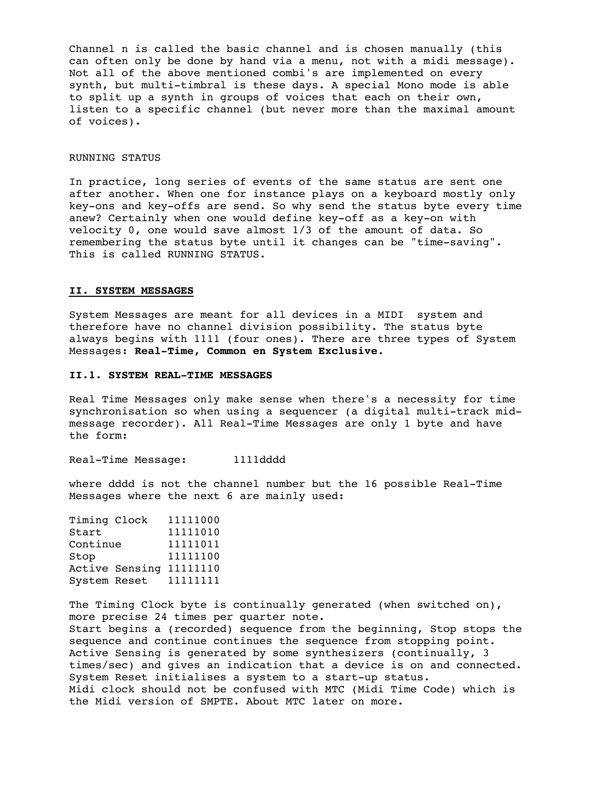Channel n is called the basic channel and is chosen manually (this can often only be done by hand via a menu, not with a midi message). Not all of the above mentioned combi's are implemented on every synth, but multi-timbral is these days. A special Mono mode is able to split up a synth in groups of voices that each on their own, listen to a specific channel (but never more than the maximal amount of voices).

#### RUNNING STATUS

In practice, long series of events of the same status are sent one after another. When one for instance plays on a keyboard mostly only key-ons and key-offs are send. So why send the status byte every time anew? Certainly when one would define key-off as a key-on with velocity 0, one would save almost 1/3 of the amount of data. So remembering the status byte until it changes can be "time-saving". This is called RUNNING STATUS.

## **II. SYSTEM MESSAGES**

System Messages are meant for all devices in a MIDI system and therefore have no channel division possibility. The status byte always begins with 1111 (four ones). There are three types of System Messages: **Real-Time, Common en System Exclusive**.

## **II.1. SYSTEM REAL-TIME MESSAGES**

Real Time Messages only make sense when there's a necessity for time synchronisation so when using a sequencer (a digital multi-track midmessage recorder). All Real-Time Messages are only 1 byte and have the form:

Real-Time Message: 1111dddd

where dddd is not the channel number but the 16 possible Real-Time Messages where the next 6 are mainly used:

| 11111000 |
|----------|
| 11111010 |
| 11111011 |
| 11111100 |
| 11111110 |
| 11111111 |
|          |

The Timing Clock byte is continually generated (when switched on), more precise 24 times per quarter note. Start begins a (recorded) sequence from the beginning, Stop stops the sequence and continue continues the sequence from stopping point. Active Sensing is generated by some synthesizers (continually, 3 times/sec) and gives an indication that a device is on and connected. System Reset initialises a system to a start-up status. Midi clock should not be confused with MTC (Midi Time Code) which is the Midi version of SMPTE. About MTC later on more.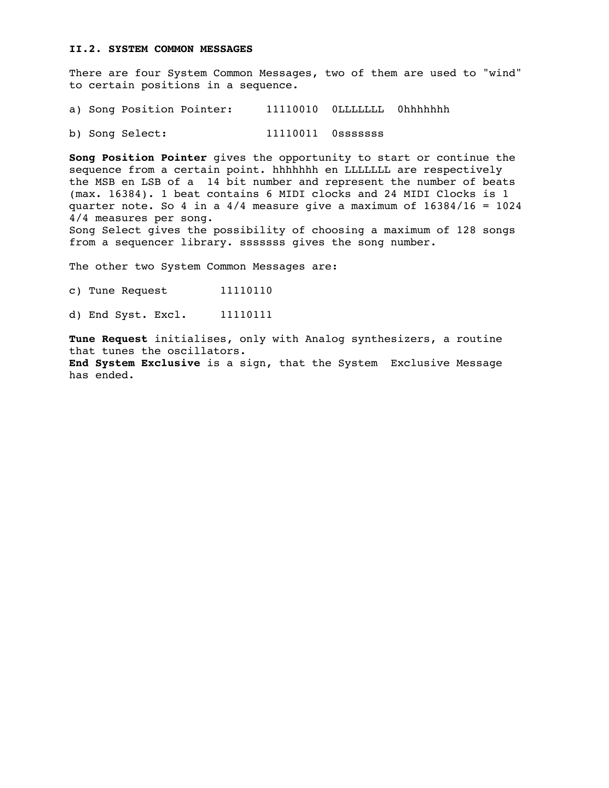# **II.2. SYSTEM COMMON MESSAGES**

There are four System Common Messages, two of them are used to "wind" to certain positions in a sequence.

a) Song Position Pointer: 11110010 OLLLLLLL Ohhhhhhh

b) Song Select: 11110011 0sssssss

**Song Position Pointer** gives the opportunity to start or continue the sequence from a certain point. hhhhhhh en LLLLLLL are respectively the MSB en LSB of a 14 bit number and represent the number of beats (max. 16384). 1 beat contains 6 MIDI clocks and 24 MIDI Clocks is 1 quarter note. So 4 in a  $4/4$  measure give a maximum of  $16384/16 = 1024$ 4/4 measures per song. Song Select gives the possibility of choosing a maximum of 128 songs from a sequencer library. sssssss gives the song number.

The other two System Common Messages are:

c) Tune Request 11110110

d) End Syst. Excl. 11110111

**Tune Request** initialises, only with Analog synthesizers, a routine that tunes the oscillators. **End System Exclusive** is a sign, that the System Exclusive Message has ended.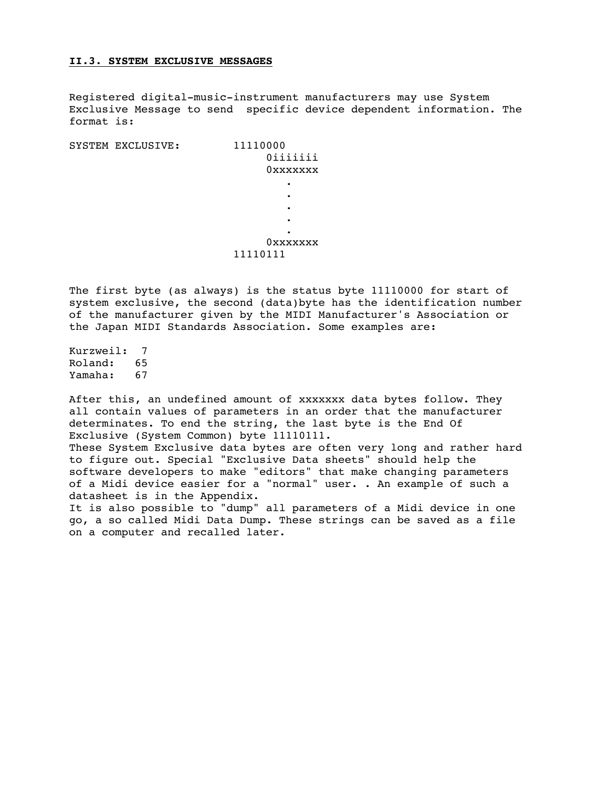## **II.3. SYSTEM EXCLUSIVE MESSAGES**

Registered digital-music-instrument manufacturers may use System Exclusive Message to send specific device dependent information. The format is:

| SYSTEM EXCLUSIVE: | 11110000 |
|-------------------|----------|
|                   | Oiiiiiii |
|                   | 0xxxxxxx |
|                   | ٠        |
|                   | ٠        |
|                   | ٠        |
|                   | ٠        |
|                   | ٠        |
|                   | OXXXXXXX |
|                   | 11110111 |
|                   |          |

The first byte (as always) is the status byte 11110000 for start of system exclusive, the second (data)byte has the identification number of the manufacturer given by the MIDI Manufacturer's Association or the Japan MIDI Standards Association. Some examples are:

Kurzweil: 7 Roland: 65 Yamaha: 67

After this, an undefined amount of xxxxxxx data bytes follow. They all contain values of parameters in an order that the manufacturer determinates. To end the string, the last byte is the End Of Exclusive (System Common) byte 11110111.

These System Exclusive data bytes are often very long and rather hard to figure out. Special "Exclusive Data sheets" should help the software developers to make "editors" that make changing parameters of a Midi device easier for a "normal" user. . An example of such a datasheet is in the Appendix.

It is also possible to "dump" all parameters of a Midi device in one go, a so called Midi Data Dump. These strings can be saved as a file on a computer and recalled later.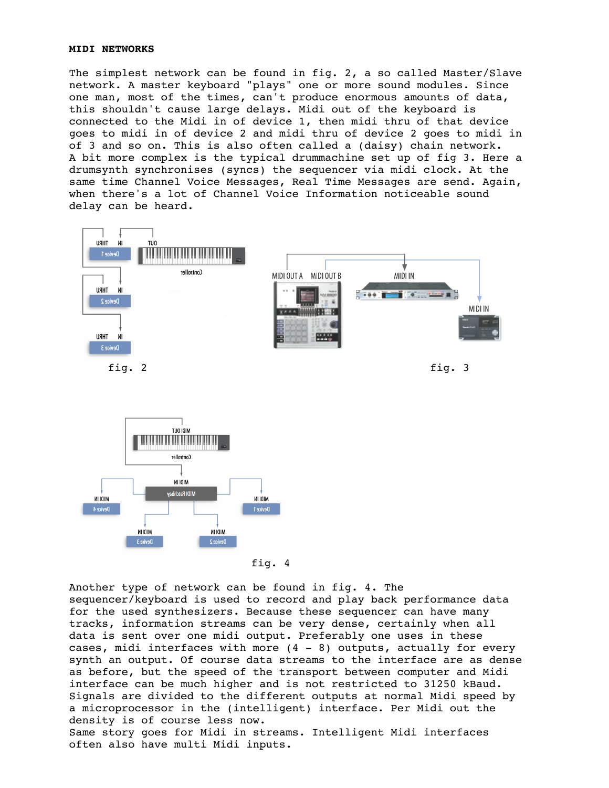## **MIDI NETWORKS**

The simplest network can be found in fig. 2, a so called Master/Slave network. A master keyboard "plays" one or more sound modules. Since one man, most of the times, can't produce enormous amounts of data, this shouldn't cause large delays. Midi out of the keyboard is connected to the Midi in of device 1, then midi thru of that device goes to midi in of device 2 and midi thru of device 2 goes to midi in of 3 and so on. This is also often called a (daisy) chain network. A bit more complex is the typical drummachine set up of fig 3. Here a drumsynth synchronises (syncs) the sequencer via midi clock. At the same time Channel Voice Messages, Real Time Messages are send. Again, when there's a lot of Channel Voice Information noticeable sound delay can be heard.



fig. 2 fig. 3



fig. 4

Another type of network can be found in fig. 4. The sequencer/keyboard is used to record and play back performance data for the used synthesizers. Because these sequencer can have many tracks, information streams can be very dense, certainly when all data is sent over one midi output. Preferably one uses in these cases, midi interfaces with more  $(4 - 8)$  outputs, actually for every synth an output. Of course data streams to the interface are as dense as before, but the speed of the transport between computer and Midi interface can be much higher and is not restricted to 31250 kBaud. Signals are divided to the different outputs at normal Midi speed by a microprocessor in the (intelligent) interface. Per Midi out the density is of course less now. Same story goes for Midi in streams. Intelligent Midi interfaces often also have multi Midi inputs.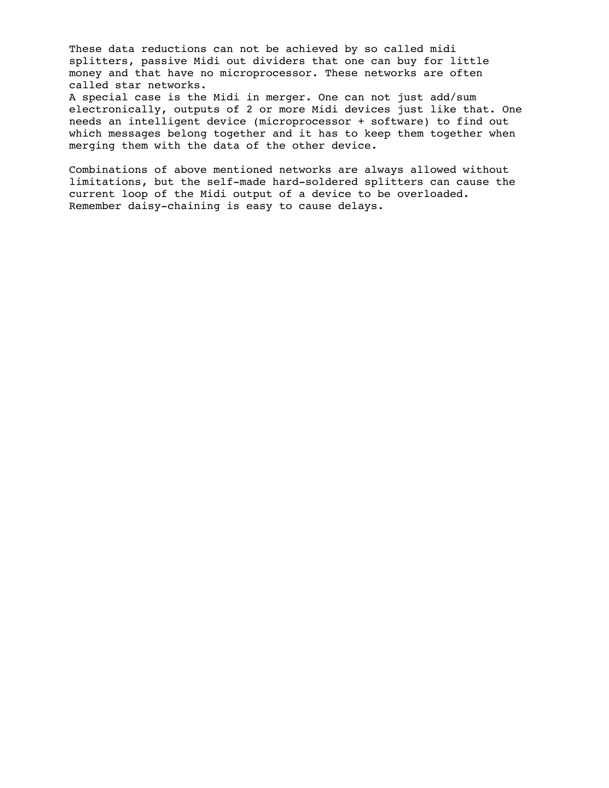These data reductions can not be achieved by so called midi splitters, passive Midi out dividers that one can buy for little money and that have no microprocessor. These networks are often called star networks.

A special case is the Midi in merger. One can not just add/sum electronically, outputs of 2 or more Midi devices just like that. One needs an intelligent device (microprocessor + software) to find out which messages belong together and it has to keep them together when merging them with the data of the other device.

Combinations of above mentioned networks are always allowed without limitations, but the self-made hard-soldered splitters can cause the current loop of the Midi output of a device to be overloaded. Remember daisy-chaining is easy to cause delays.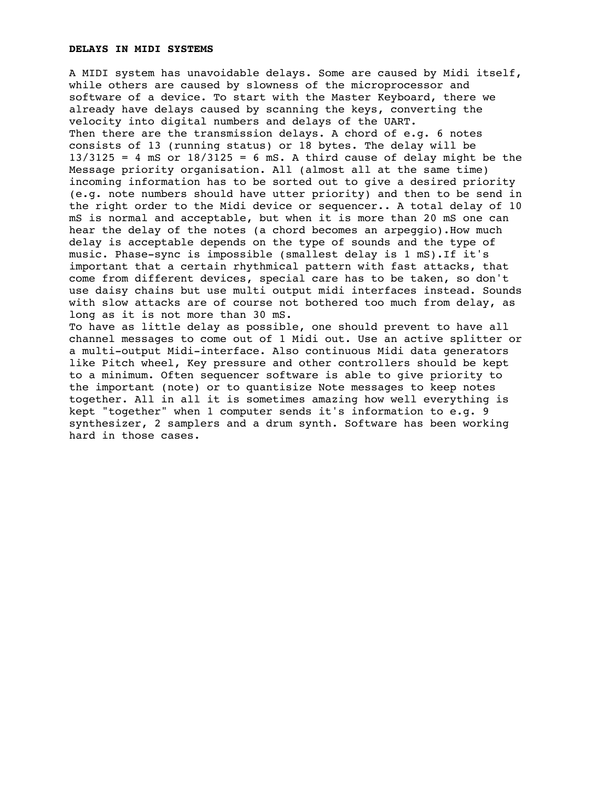#### **DELAYS IN MIDI SYSTEMS**

A MIDI system has unavoidable delays. Some are caused by Midi itself, while others are caused by slowness of the microprocessor and software of a device. To start with the Master Keyboard, there we already have delays caused by scanning the keys, converting the velocity into digital numbers and delays of the UART. Then there are the transmission delays. A chord of e.g. 6 notes consists of 13 (running status) or 18 bytes. The delay will be  $13/3125 = 4$  mS or  $18/3125 = 6$  mS. A third cause of delay might be the Message priority organisation. All (almost all at the same time) incoming information has to be sorted out to give a desired priority (e.g. note numbers should have utter priority) and then to be send in the right order to the Midi device or sequencer.. A total delay of 10 mS is normal and acceptable, but when it is more than 20 mS one can hear the delay of the notes (a chord becomes an arpeggio).How much delay is acceptable depends on the type of sounds and the type of music. Phase-sync is impossible (smallest delay is 1 mS).If it's important that a certain rhythmical pattern with fast attacks, that come from different devices, special care has to be taken, so don't use daisy chains but use multi output midi interfaces instead. Sounds with slow attacks are of course not bothered too much from delay, as long as it is not more than 30 mS. To have as little delay as possible, one should prevent to have all

channel messages to come out of 1 Midi out. Use an active splitter or a multi-output Midi-interface. Also continuous Midi data generators like Pitch wheel, Key pressure and other controllers should be kept to a minimum. Often sequencer software is able to give priority to the important (note) or to quantisize Note messages to keep notes together. All in all it is sometimes amazing how well everything is kept "together" when 1 computer sends it's information to e.g. 9 synthesizer, 2 samplers and a drum synth. Software has been working hard in those cases.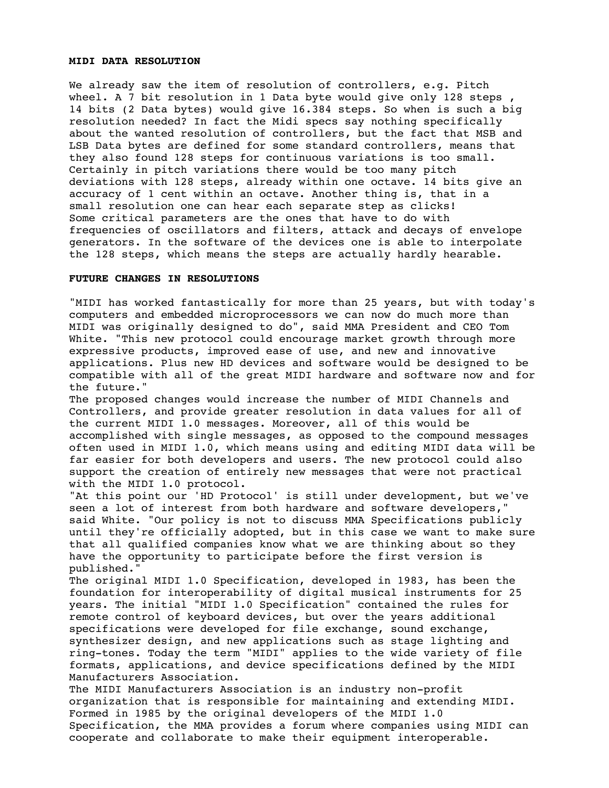#### **MIDI DATA RESOLUTION**

We already saw the item of resolution of controllers, e.g. Pitch wheel. A 7 bit resolution in 1 Data byte would give only 128 steps , 14 bits (2 Data bytes) would give 16.384 steps. So when is such a big resolution needed? In fact the Midi specs say nothing specifically about the wanted resolution of controllers, but the fact that MSB and LSB Data bytes are defined for some standard controllers, means that they also found 128 steps for continuous variations is too small. Certainly in pitch variations there would be too many pitch deviations with 128 steps, already within one octave. 14 bits give an accuracy of 1 cent within an octave. Another thing is, that in a small resolution one can hear each separate step as clicks! Some critical parameters are the ones that have to do with frequencies of oscillators and filters, attack and decays of envelope generators. In the software of the devices one is able to interpolate the 128 steps, which means the steps are actually hardly hearable.

## **FUTURE CHANGES IN RESOLUTIONS**

"MIDI has worked fantastically for more than 25 years, but with today's computers and embedded microprocessors we can now do much more than MIDI was originally designed to do", said MMA President and CEO Tom White. "This new protocol could encourage market growth through more expressive products, improved ease of use, and new and innovative applications. Plus new HD devices and software would be designed to be compatible with all of the great MIDI hardware and software now and for the future."

The proposed changes would increase the number of MIDI Channels and Controllers, and provide greater resolution in data values for all of the current MIDI 1.0 messages. Moreover, all of this would be accomplished with single messages, as opposed to the compound messages often used in MIDI 1.0, which means using and editing MIDI data will be far easier for both developers and users. The new protocol could also support the creation of entirely new messages that were not practical with the MIDI 1.0 protocol.

"At this point our 'HD Protocol' is still under development, but we've seen a lot of interest from both hardware and software developers," said White. "Our policy is not to discuss MMA Specifications publicly until they're officially adopted, but in this case we want to make sure that all qualified companies know what we are thinking about so they have the opportunity to participate before the first version is published."

The original MIDI 1.0 Specification, developed in 1983, has been the foundation for interoperability of digital musical instruments for 25 years. The initial "MIDI 1.0 Specification" contained the rules for remote control of keyboard devices, but over the years additional specifications were developed for file exchange, sound exchange, synthesizer design, and new applications such as stage lighting and ring-tones. Today the term "MIDI" applies to the wide variety of file formats, applications, and device specifications defined by the MIDI Manufacturers Association.

The MIDI Manufacturers Association is an industry non-profit organization that is responsible for maintaining and extending MIDI. Formed in 1985 by the original developers of the MIDI 1.0 Specification, the MMA provides a forum where companies using MIDI can cooperate and collaborate to make their equipment interoperable.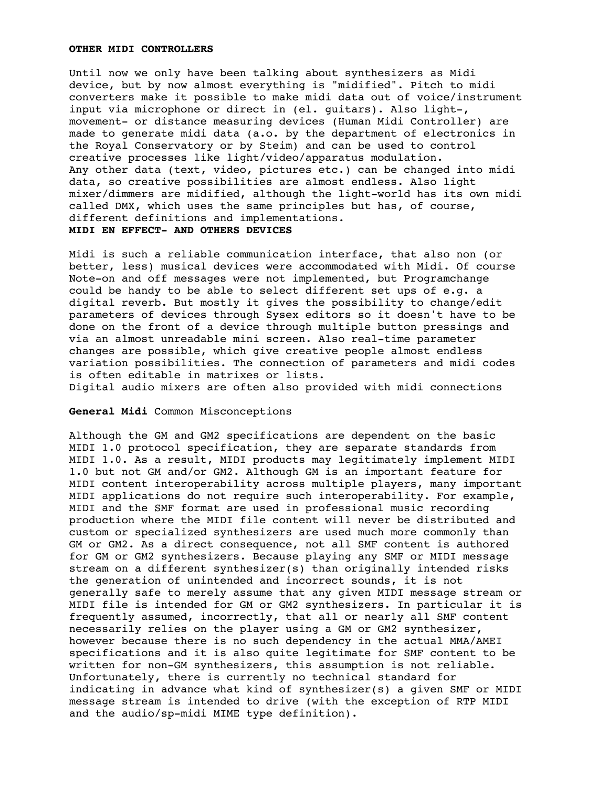#### **OTHER MIDI CONTROLLERS**

Until now we only have been talking about synthesizers as Midi device, but by now almost everything is "midified". Pitch to midi converters make it possible to make midi data out of voice/instrument input via microphone or direct in (el. guitars). Also light-, movement- or distance measuring devices (Human Midi Controller) are made to generate midi data (a.o. by the department of electronics in the Royal Conservatory or by Steim) and can be used to control creative processes like light/video/apparatus modulation. Any other data (text, video, pictures etc.) can be changed into midi data, so creative possibilities are almost endless. Also light mixer/dimmers are midified, although the light-world has its own midi called DMX, which uses the same principles but has, of course, different definitions and implementations. **MIDI EN EFFECT- AND OTHERS DEVICES**

Midi is such a reliable communication interface, that also non (or better, less) musical devices were accommodated with Midi. Of course Note-on and off messages were not implemented, but Programchange could be handy to be able to select different set ups of e.g. a digital reverb. But mostly it gives the possibility to change/edit parameters of devices through Sysex editors so it doesn't have to be done on the front of a device through multiple button pressings and via an almost unreadable mini screen. Also real-time parameter changes are possible, which give creative people almost endless variation possibilities. The connection of parameters and midi codes is often editable in matrixes or lists.

Digital audio mixers are often also provided with midi connections

**General Midi** Common Misconceptions

Although the GM and GM2 specifications are dependent on the basic MIDI 1.0 protocol specification, they are separate standards from MIDI 1.0. As a result, MIDI products may legitimately implement MIDI 1.0 but not GM and/or GM2. Although GM is an important feature for MIDI content interoperability across multiple players, many important MIDI applications do not require such interoperability. For example, MIDI and the SMF format are used in professional music recording production where the MIDI file content will never be distributed and custom or specialized synthesizers are used much more commonly than GM or GM2. As a direct consequence, not all SMF content is authored for GM or GM2 synthesizers. Because playing any SMF or MIDI message stream on a different synthesizer(s) than originally intended risks the generation of unintended and incorrect sounds, it is not generally safe to merely assume that any given MIDI message stream or MIDI file is intended for GM or GM2 synthesizers. In particular it is frequently assumed, incorrectly, that all or nearly all SMF content necessarily relies on the player using a GM or GM2 synthesizer, however because there is no such dependency in the actual MMA/AMEI specifications and it is also quite legitimate for SMF content to be written for non-GM synthesizers, this assumption is not reliable. Unfortunately, there is currently no technical standard for indicating in advance what kind of synthesizer(s) a given SMF or MIDI message stream is intended to drive (with the exception of RTP MIDI and the audio/sp-midi MIME type definition).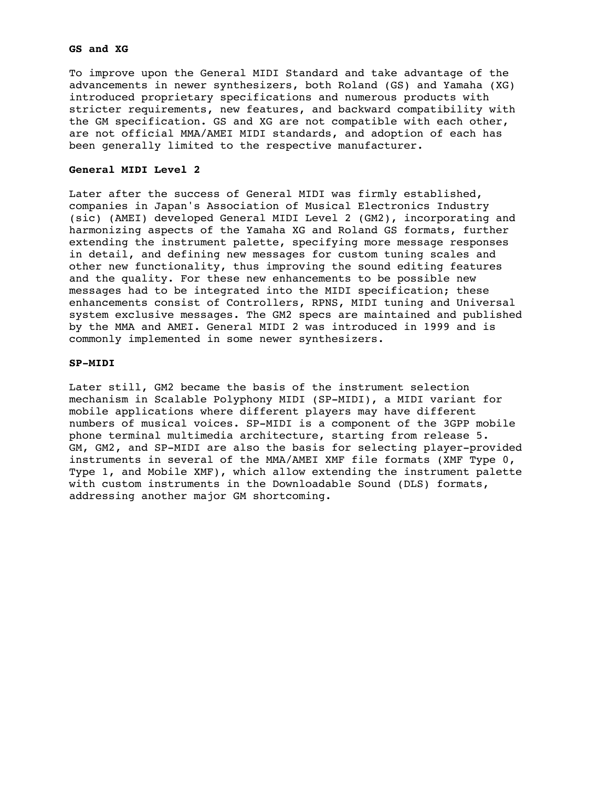## **GS and XG**

To improve upon the General MIDI Standard and take advantage of the advancements in newer synthesizers, both Roland (GS) and Yamaha (XG) introduced proprietary specifications and numerous products with stricter requirements, new features, and backward compatibility with the GM specification. GS and XG are not compatible with each other, are not official MMA/AMEI MIDI standards, and adoption of each has been generally limited to the respective manufacturer.

## **General MIDI Level 2**

Later after the success of General MIDI was firmly established, companies in Japan's Association of Musical Electronics Industry (sic) (AMEI) developed General MIDI Level 2 (GM2), incorporating and harmonizing aspects of the Yamaha XG and Roland GS formats, further extending the instrument palette, specifying more message responses in detail, and defining new messages for custom tuning scales and other new functionality, thus improving the sound editing features and the quality. For these new enhancements to be possible new messages had to be integrated into the MIDI specification; these enhancements consist of Controllers, RPNS, MIDI tuning and Universal system exclusive messages. The GM2 specs are maintained and published by the MMA and AMEI. General MIDI 2 was introduced in 1999 and is commonly implemented in some newer synthesizers.

## **SP-MIDI**

Later still, GM2 became the basis of the instrument selection mechanism in Scalable Polyphony MIDI (SP-MIDI), a MIDI variant for mobile applications where different players may have different numbers of musical voices. SP-MIDI is a component of the 3GPP mobile phone terminal multimedia architecture, starting from release 5. GM, GM2, and SP-MIDI are also the basis for selecting player-provided instruments in several of the MMA/AMEI XMF file formats (XMF Type 0, Type 1, and Mobile XMF), which allow extending the instrument palette with custom instruments in the Downloadable Sound (DLS) formats, addressing another major GM shortcoming.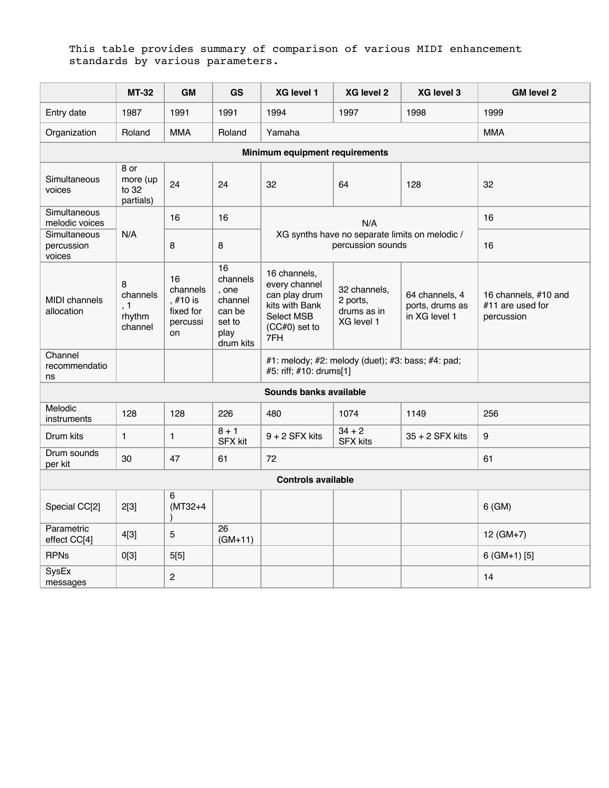# This table provides summary of comparison of various MIDI enhancement standards by various parameters.

|                                      | <b>MT-32</b>                              | <b>GM</b>                                                 | GS                                                                          | XG level 1                                                                                               | XG level 2                                                          | XG level 3                                         | <b>GM level 2</b>                                      |
|--------------------------------------|-------------------------------------------|-----------------------------------------------------------|-----------------------------------------------------------------------------|----------------------------------------------------------------------------------------------------------|---------------------------------------------------------------------|----------------------------------------------------|--------------------------------------------------------|
| Entry date                           | 1987                                      | 1991                                                      | 1991                                                                        | 1994                                                                                                     | 1997                                                                | 1998                                               | 1999                                                   |
| Organization                         | Roland                                    | <b>MMA</b>                                                | Roland                                                                      | Yamaha                                                                                                   |                                                                     |                                                    | <b>MMA</b>                                             |
|                                      |                                           |                                                           |                                                                             | Minimum equipment requirements                                                                           |                                                                     |                                                    |                                                        |
| Simultaneous<br>voices               | 8 or<br>more (up<br>to 32<br>partials)    | 24                                                        | 24                                                                          | 32                                                                                                       | 64                                                                  | 128                                                | 32                                                     |
| Simultaneous<br>melodic voices       |                                           | 16                                                        | 16                                                                          |                                                                                                          | N/A                                                                 |                                                    | 16                                                     |
| Simultaneous<br>percussion<br>voices | N/A                                       | 8                                                         | 8                                                                           |                                                                                                          | XG synths have no separate limits on melodic /<br>percussion sounds |                                                    | 16                                                     |
| <b>MIDI</b> channels<br>allocation   | 8<br>channels<br>, 1<br>rhythm<br>channel | 16<br>channels<br>, #10 is<br>fixed for<br>percussi<br>on | 16<br>channels<br>. one<br>channel<br>can be<br>set to<br>play<br>drum kits | 16 channels,<br>every channel<br>can play drum<br>kits with Bank<br>Select MSB<br>$(CC#0)$ set to<br>7FH | 32 channels,<br>2 ports,<br>drums as in<br>XG level 1               | 64 channels, 4<br>ports, drums as<br>in XG level 1 | 16 channels, #10 and<br>#11 are used for<br>percussion |
| Channel<br>recommendatio<br>ns       |                                           |                                                           |                                                                             | #5: riff; #10: drums[1]                                                                                  | #1: melody; #2: melody (duet); #3: bass; #4: pad;                   |                                                    |                                                        |
|                                      |                                           |                                                           |                                                                             | Sounds banks available                                                                                   |                                                                     |                                                    |                                                        |
| Melodic<br>instruments               | 128                                       | 128                                                       | 226                                                                         | 480                                                                                                      | 1074                                                                | 1149                                               | 256                                                    |
| Drum kits                            | $\mathbf{1}$                              | $\mathbf{1}$                                              | $8 + 1$<br><b>SFX kit</b>                                                   | $9 + 2$ SFX kits                                                                                         | $34 + 2$<br><b>SFX kits</b>                                         | $35 + 2$ SFX kits                                  | 9                                                      |
| Drum sounds<br>per kit               | 30                                        | 47                                                        | 61                                                                          | 72                                                                                                       |                                                                     |                                                    | 61                                                     |
| <b>Controls available</b>            |                                           |                                                           |                                                                             |                                                                                                          |                                                                     |                                                    |                                                        |
| Special CC[2]                        | 2[3]                                      | 6<br>$(MT32+4)$                                           |                                                                             |                                                                                                          |                                                                     |                                                    | $6$ (GM)                                               |
| Parametric<br>effect CC[4]           | 4[3]                                      | $\overline{5}$                                            | 26<br>$(GM+11)$                                                             |                                                                                                          |                                                                     |                                                    | $12 (GM+7)$                                            |
| <b>RPNs</b>                          | O[3]                                      | 5[5]                                                      |                                                                             |                                                                                                          |                                                                     |                                                    | $6$ (GM+1) [5]                                         |
| SysEx<br>messages                    |                                           | $\overline{c}$                                            |                                                                             |                                                                                                          |                                                                     |                                                    | 14                                                     |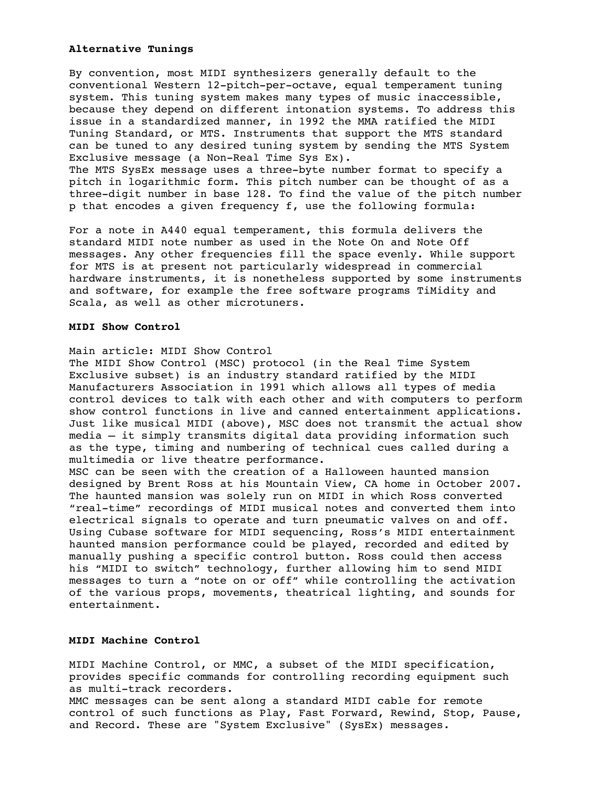## **Alternative Tunings**

By convention, most MIDI synthesizers generally default to the conventional Western 12-pitch-per-octave, equal temperament tuning system. This tuning system makes many types of music inaccessible, because they depend on different intonation systems. To address this issue in a standardized manner, in 1992 the MMA ratified the MIDI Tuning Standard, or MTS. Instruments that support the MTS standard can be tuned to any desired tuning system by sending the MTS System Exclusive message (a Non-Real Time Sys Ex). The MTS SysEx message uses a three-byte number format to specify a pitch in logarithmic form. This pitch number can be thought of as a three-digit number in base 128. To find the value of the pitch number p that encodes a given frequency f, use the following formula:

For a note in A440 equal temperament, this formula delivers the standard MIDI note number as used in the Note On and Note Off messages. Any other frequencies fill the space evenly. While support for MTS is at present not particularly widespread in commercial hardware instruments, it is nonetheless supported by some instruments and software, for example the free software programs TiMidity and Scala, as well as other microtuners.

# **MIDI Show Control**

Main article: MIDI Show Control

The MIDI Show Control (MSC) protocol (in the Real Time System Exclusive subset) is an industry standard ratified by the MIDI Manufacturers Association in 1991 which allows all types of media control devices to talk with each other and with computers to perform show control functions in live and canned entertainment applications. Just like musical MIDI (above), MSC does not transmit the actual show media — it simply transmits digital data providing information such as the type, timing and numbering of technical cues called during a multimedia or live theatre performance.

MSC can be seen with the creation of a Halloween haunted mansion designed by Brent Ross at his Mountain View, CA home in October 2007. The haunted mansion was solely run on MIDI in which Ross converted "real-time" recordings of MIDI musical notes and converted them into electrical signals to operate and turn pneumatic valves on and off. Using Cubase software for MIDI sequencing, Ross's MIDI entertainment haunted mansion performance could be played, recorded and edited by manually pushing a specific control button. Ross could then access his "MIDI to switch" technology, further allowing him to send MIDI messages to turn a "note on or off" while controlling the activation of the various props, movements, theatrical lighting, and sounds for entertainment.

# **MIDI Machine Control**

MIDI Machine Control, or MMC, a subset of the MIDI specification, provides specific commands for controlling recording equipment such as multi-track recorders. MMC messages can be sent along a standard MIDI cable for remote control of such functions as Play, Fast Forward, Rewind, Stop, Pause,

and Record. These are "System Exclusive" (SysEx) messages.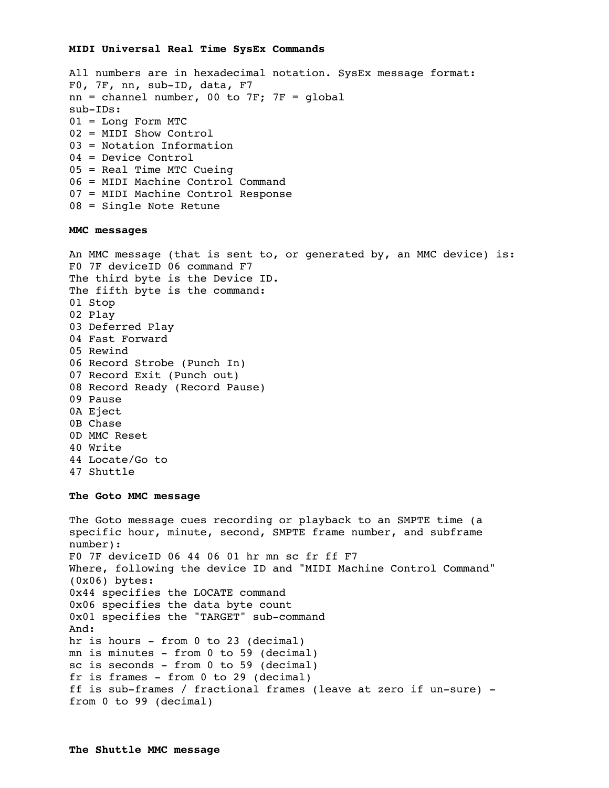#### **MIDI Universal Real Time SysEx Commands**

```
All numbers are in hexadecimal notation. SysEx message format:
F0, 7F, nn, sub-ID, data, F7 
nn = channel number, 00 to 7F; 7F = globalsub-IDs: 
01 = Long Form MTC 
02 = MIDI Show Control 
03 = Notation Information 
04 = Device Control 
05 = Real Time MTC Cueing 
06 = MIDI Machine Control Command 
07 = MIDI Machine Control Response 
08 = Single Note Retune
```
#### **MMC messages**

```
An MMC message (that is sent to, or generated by, an MMC device) is:
F0 7F deviceID 06 command F7
The third byte is the Device ID.
The fifth byte is the command:
01 Stop 
02 Play 
03 Deferred Play 
04 Fast Forward 
05 Rewind 
06 Record Strobe (Punch In) 
07 Record Exit (Punch out) 
08 Record Ready (Record Pause)
09 Pause
0A Eject
0B Chase 
0D MMC Reset
40 Write 
44 Locate/Go to
47 Shuttle
```
#### **The Goto MMC message**

```
The Goto message cues recording or playback to an SMPTE time (a 
specific hour, minute, second, SMPTE frame number, and subframe 
number):
F0 7F deviceID 06 44 06 01 hr mn sc fr ff F7
Where, following the device ID and "MIDI Machine Control Command" 
(0x06) bytes:
0x44 specifies the LOCATE command
0x06 specifies the data byte count
0x01 specifies the "TARGET" sub-command
And:
hr is hours - from 0 to 23 (decimal)
mn is minutes - from 0 to 59 (decimal)
sc is seconds - from 0 to 59 (decimal)
fr is frames - from 0 to 29 (decimal)
ff is sub-frames / fractional frames (leave at zero if un-sure) -
from 0 to 99 (decimal)
```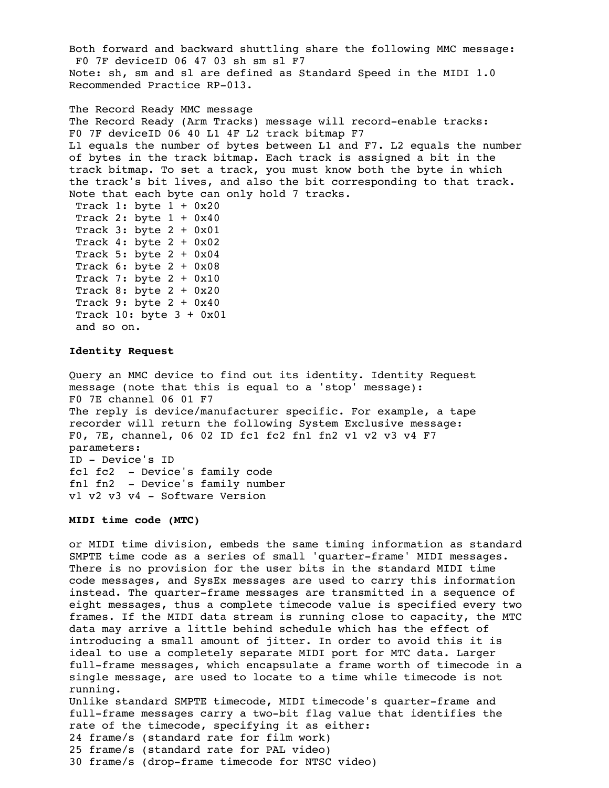Both forward and backward shuttling share the following MMC message: F0 7F deviceID 06 47 03 sh sm sl F7 Note: sh, sm and sl are defined as Standard Speed in the MIDI 1.0 Recommended Practice RP-013.

```
The Record Ready MMC message
The Record Ready (Arm Tracks) message will record-enable tracks:
F0 7F deviceID 06 40 L1 4F L2 track bitmap F7
L1 equals the number of bytes between L1 and F7. L2 equals the number 
of bytes in the track bitmap. Each track is assigned a bit in the 
track bitmap. To set a track, you must know both the byte in which 
the track's bit lives, and also the bit corresponding to that track. 
Note that each byte can only hold 7 tracks.
Track 1: byte 1 + 0x20Track 2: byte 1 + 0x40Track 3: byte 2 + 0x01
Track 4: byte 2 + 0x02Track 5: byte 2 + 0x04Track 6: byte 2 + 0x08Track 7: byte 2 + 0x10
Track 8: byte 2 + 0x20
Track 9: byte 2 + 0x40Track 10: byte 3 + 0x01
and so on.
```
## **Identity Request**

Query an MMC device to find out its identity. Identity Request message (note that this is equal to a 'stop' message): F0 7E channel 06 01 F7 The reply is device/manufacturer specific. For example, a tape recorder will return the following System Exclusive message: F0, 7E, channel, 06 02 ID fc1 fc2 fn1 fn2 v1 v2 v3 v4 F7 parameters: ID - Device's ID fc1 fc2 - Device's family code fn1 fn2 - Device's family number v1 v2 v3 v4 - Software Version

# **MIDI time code (MTC)**

or MIDI time division, embeds the same timing information as standard SMPTE time code as a series of small 'quarter-frame' MIDI messages. There is no provision for the user bits in the standard MIDI time code messages, and SysEx messages are used to carry this information instead. The quarter-frame messages are transmitted in a sequence of eight messages, thus a complete timecode value is specified every two frames. If the MIDI data stream is running close to capacity, the MTC data may arrive a little behind schedule which has the effect of introducing a small amount of jitter. In order to avoid this it is ideal to use a completely separate MIDI port for MTC data. Larger full-frame messages, which encapsulate a frame worth of timecode in a single message, are used to locate to a time while timecode is not running. Unlike standard SMPTE timecode, MIDI timecode's quarter-frame and full-frame messages carry a two-bit flag value that identifies the rate of the timecode, specifying it as either: 24 frame/s (standard rate for film work) 25 frame/s (standard rate for PAL video) 30 frame/s (drop-frame timecode for NTSC video)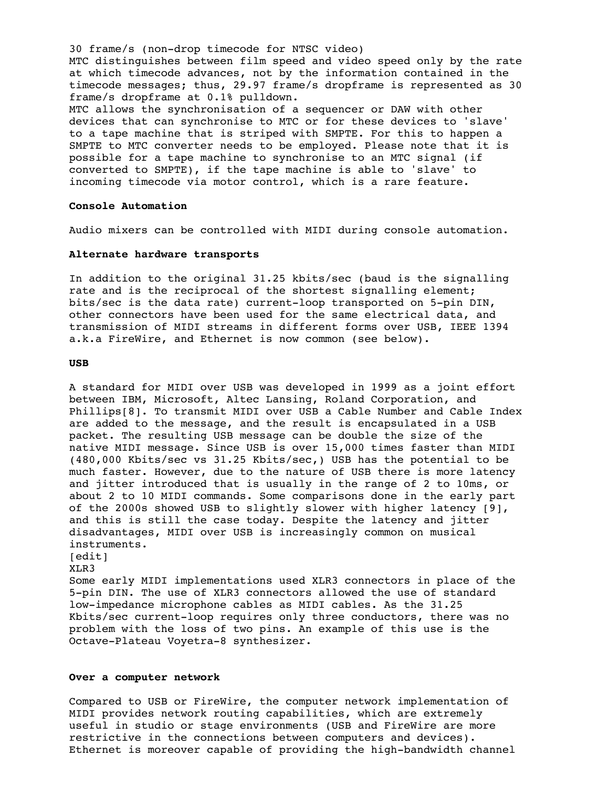30 frame/s (non-drop timecode for NTSC video) MTC distinguishes between film speed and video speed only by the rate at which timecode advances, not by the information contained in the timecode messages; thus, 29.97 frame/s dropframe is represented as 30 frame/s dropframe at 0.1% pulldown. MTC allows the synchronisation of a sequencer or DAW with other devices that can synchronise to MTC or for these devices to 'slave' to a tape machine that is striped with SMPTE. For this to happen a SMPTE to MTC converter needs to be employed. Please note that it is possible for a tape machine to synchronise to an MTC signal (if converted to SMPTE), if the tape machine is able to 'slave' to incoming timecode via motor control, which is a rare feature.

#### **Console Automation**

Audio mixers can be controlled with MIDI during console automation.

#### **Alternate hardware transports**

In addition to the original 31.25 kbits/sec (baud is the signalling rate and is the reciprocal of the shortest signalling element; bits/sec is the data rate) current-loop transported on 5-pin DIN, other connectors have been used for the same electrical data, and transmission of MIDI streams in different forms over USB, IEEE 1394 a.k.a FireWire, and Ethernet is now common (see below).

#### **USB**

A standard for MIDI over USB was developed in 1999 as a joint effort between IBM, Microsoft, Altec Lansing, Roland Corporation, and Phillips[8]. To transmit MIDI over USB a Cable Number and Cable Index are added to the message, and the result is encapsulated in a USB packet. The resulting USB message can be double the size of the native MIDI message. Since USB is over 15,000 times faster than MIDI (480,000 Kbits/sec vs 31.25 Kbits/sec,) USB has the potential to be much faster. However, due to the nature of USB there is more latency and jitter introduced that is usually in the range of 2 to 10ms, or about 2 to 10 MIDI commands. Some comparisons done in the early part of the 2000s showed USB to slightly slower with higher latency [9], and this is still the case today. Despite the latency and jitter disadvantages, MIDI over USB is increasingly common on musical instruments. [edit]

# XLR3

Some early MIDI implementations used XLR3 connectors in place of the 5-pin DIN. The use of XLR3 connectors allowed the use of standard low-impedance microphone cables as MIDI cables. As the 31.25 Kbits/sec current-loop requires only three conductors, there was no problem with the loss of two pins. An example of this use is the Octave-Plateau Voyetra-8 synthesizer.

#### **Over a computer network**

Compared to USB or FireWire, the computer network implementation of MIDI provides network routing capabilities, which are extremely useful in studio or stage environments (USB and FireWire are more restrictive in the connections between computers and devices). Ethernet is moreover capable of providing the high-bandwidth channel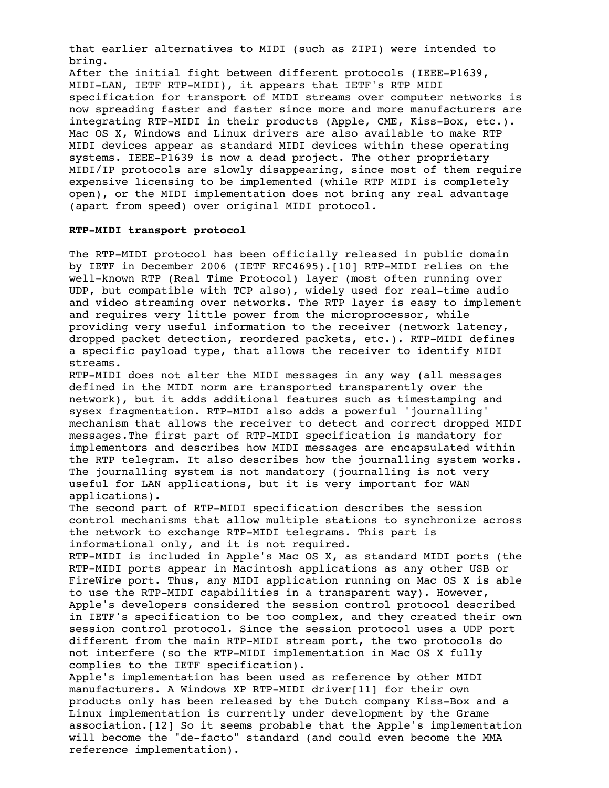that earlier alternatives to MIDI (such as ZIPI) were intended to bring.

After the initial fight between different protocols (IEEE-P1639, MIDI-LAN, IETF RTP-MIDI), it appears that IETF's RTP MIDI specification for transport of MIDI streams over computer networks is now spreading faster and faster since more and more manufacturers are integrating RTP-MIDI in their products (Apple, CME, Kiss-Box, etc.). Mac OS X, Windows and Linux drivers are also available to make RTP MIDI devices appear as standard MIDI devices within these operating systems. IEEE-P1639 is now a dead project. The other proprietary MIDI/IP protocols are slowly disappearing, since most of them require expensive licensing to be implemented (while RTP MIDI is completely open), or the MIDI implementation does not bring any real advantage (apart from speed) over original MIDI protocol.

# **RTP-MIDI transport protocol**

The RTP-MIDI protocol has been officially released in public domain by IETF in December 2006 (IETF RFC4695).[10] RTP-MIDI relies on the well-known RTP (Real Time Protocol) layer (most often running over UDP, but compatible with TCP also), widely used for real-time audio and video streaming over networks. The RTP layer is easy to implement and requires very little power from the microprocessor, while providing very useful information to the receiver (network latency, dropped packet detection, reordered packets, etc.). RTP-MIDI defines a specific payload type, that allows the receiver to identify MIDI streams.

RTP-MIDI does not alter the MIDI messages in any way (all messages defined in the MIDI norm are transported transparently over the network), but it adds additional features such as timestamping and sysex fragmentation. RTP-MIDI also adds a powerful 'journalling' mechanism that allows the receiver to detect and correct dropped MIDI messages.The first part of RTP-MIDI specification is mandatory for implementors and describes how MIDI messages are encapsulated within the RTP telegram. It also describes how the journalling system works. The journalling system is not mandatory (journalling is not very useful for LAN applications, but it is very important for WAN applications).

The second part of RTP-MIDI specification describes the session control mechanisms that allow multiple stations to synchronize across the network to exchange RTP-MIDI telegrams. This part is informational only, and it is not required.

RTP-MIDI is included in Apple's Mac OS X, as standard MIDI ports (the RTP-MIDI ports appear in Macintosh applications as any other USB or FireWire port. Thus, any MIDI application running on Mac OS X is able to use the RTP-MIDI capabilities in a transparent way). However, Apple's developers considered the session control protocol described in IETF's specification to be too complex, and they created their own session control protocol. Since the session protocol uses a UDP port different from the main RTP-MIDI stream port, the two protocols do not interfere (so the RTP-MIDI implementation in Mac OS X fully complies to the IETF specification).

Apple's implementation has been used as reference by other MIDI manufacturers. A Windows XP RTP-MIDI driver[11] for their own products only has been released by the Dutch company Kiss-Box and a Linux implementation is currently under development by the Grame association.[12] So it seems probable that the Apple's implementation will become the "de-facto" standard (and could even become the MMA reference implementation).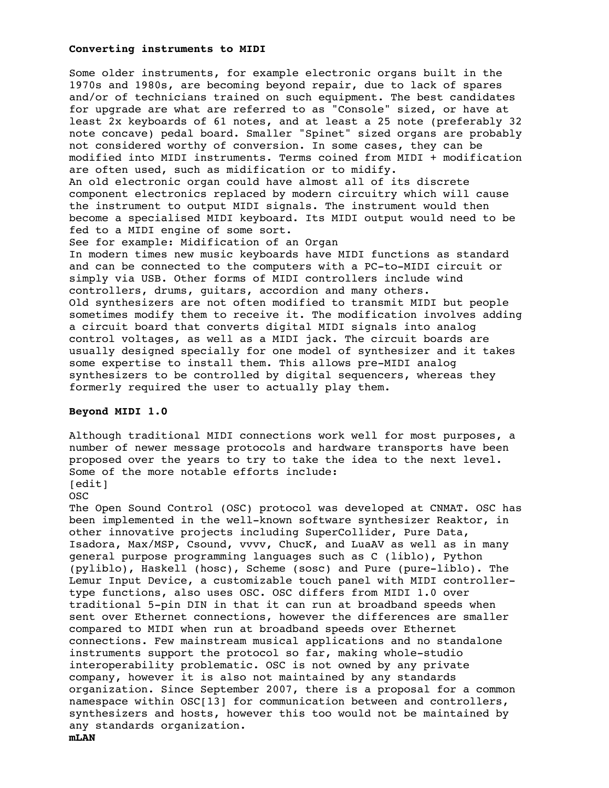# **Converting instruments to MIDI**

Some older instruments, for example electronic organs built in the 1970s and 1980s, are becoming beyond repair, due to lack of spares and/or of technicians trained on such equipment. The best candidates for upgrade are what are referred to as "Console" sized, or have at least 2x keyboards of 61 notes, and at least a 25 note (preferably 32 note concave) pedal board. Smaller "Spinet" sized organs are probably not considered worthy of conversion. In some cases, they can be modified into MIDI instruments. Terms coined from MIDI + modification are often used, such as midification or to midify. An old electronic organ could have almost all of its discrete component electronics replaced by modern circuitry which will cause the instrument to output MIDI signals. The instrument would then become a specialised MIDI keyboard. Its MIDI output would need to be fed to a MIDI engine of some sort. See for example: Midification of an Organ In modern times new music keyboards have MIDI functions as standard and can be connected to the computers with a PC-to-MIDI circuit or simply via USB. Other forms of MIDI controllers include wind controllers, drums, guitars, accordion and many others. Old synthesizers are not often modified to transmit MIDI but people sometimes modify them to receive it. The modification involves adding a circuit board that converts digital MIDI signals into analog control voltages, as well as a MIDI jack. The circuit boards are usually designed specially for one model of synthesizer and it takes some expertise to install them. This allows pre-MIDI analog synthesizers to be controlled by digital sequencers, whereas they formerly required the user to actually play them.

# **Beyond MIDI 1.0**

Although traditional MIDI connections work well for most purposes, a number of newer message protocols and hardware transports have been proposed over the years to try to take the idea to the next level. Some of the more notable efforts include: [edit]

### OSC

The Open Sound Control (OSC) protocol was developed at CNMAT. OSC has been implemented in the well-known software synthesizer Reaktor, in other innovative projects including SuperCollider, Pure Data, Isadora, Max/MSP, Csound, vvvv, ChucK, and LuaAV as well as in many general purpose programming languages such as C (liblo), Python (pyliblo), Haskell (hosc), Scheme (sosc) and Pure (pure-liblo). The Lemur Input Device, a customizable touch panel with MIDI controllertype functions, also uses OSC. OSC differs from MIDI 1.0 over traditional 5-pin DIN in that it can run at broadband speeds when sent over Ethernet connections, however the differences are smaller compared to MIDI when run at broadband speeds over Ethernet connections. Few mainstream musical applications and no standalone instruments support the protocol so far, making whole-studio interoperability problematic. OSC is not owned by any private company, however it is also not maintained by any standards organization. Since September 2007, there is a proposal for a common namespace within OSC[13] for communication between and controllers, synthesizers and hosts, however this too would not be maintained by any standards organization. **mLAN**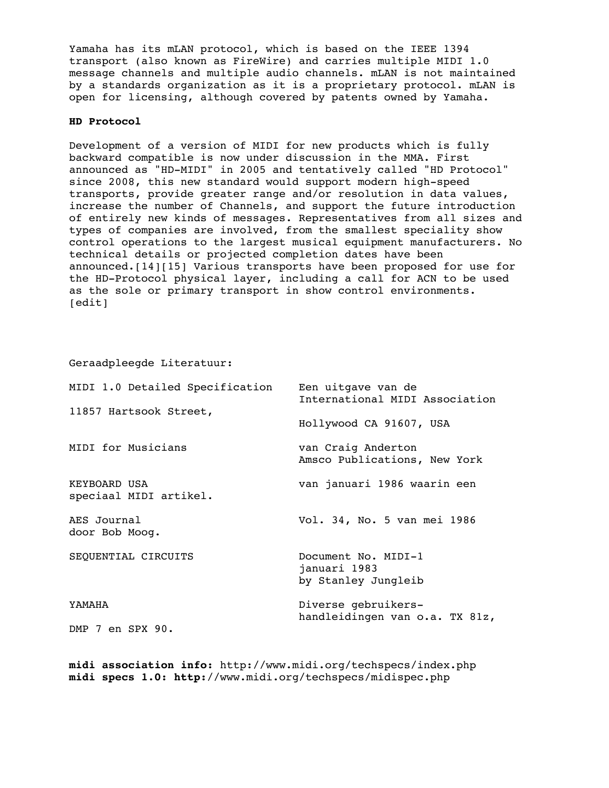Yamaha has its mLAN protocol, which is based on the IEEE 1394 transport (also known as FireWire) and carries multiple MIDI 1.0 message channels and multiple audio channels. mLAN is not maintained by a standards organization as it is a proprietary protocol. mLAN is open for licensing, although covered by patents owned by Yamaha.

# **HD Protocol**

Development of a version of MIDI for new products which is fully backward compatible is now under discussion in the MMA. First announced as "HD-MIDI" in 2005 and tentatively called "HD Protocol" since 2008, this new standard would support modern high-speed transports, provide greater range and/or resolution in data values, increase the number of Channels, and support the future introduction of entirely new kinds of messages. Representatives from all sizes and types of companies are involved, from the smallest speciality show control operations to the largest musical equipment manufacturers. No technical details or projected completion dates have been announced.[14][15] Various transports have been proposed for use for the HD-Protocol physical layer, including a call for ACN to be used as the sole or primary transport in show control environments. [edit]

Geraadpleegde Literatuur:

| MIDI 1.0 Detailed Specification        | Een uitgave van de<br>International MIDI Association       |
|----------------------------------------|------------------------------------------------------------|
| 11857 Hartsook Street,                 | Hollywood CA 91607, USA                                    |
| MIDI for Musicians                     | van Craig Anderton<br>Amsco Publications, New York         |
| KEYBOARD USA<br>speciaal MIDI artikel. | van januari 1986 waarin een                                |
| AES Journal<br>door Bob Moog.          | Vol. 34, No. 5 van mei 1986                                |
| SEQUENTIAL CIRCUITS                    | Document No. MIDI-1<br>januari 1983<br>by Stanley Jungleib |
| YAMAHA<br>DMP 7 en SPX 90.             | Diverse gebruikers-<br>handleidingen van o.a. TX 81z,      |

**midi association info:** http://www.midi.org/techspecs/index.php **midi specs 1.0: http:**//www.midi.org/techspecs/midispec.php